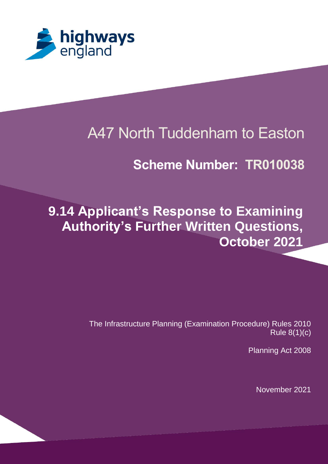

# A47 North Tuddenham to Easton

## **Scheme Number: TR010038**

# **9.14 Applicant's Response to Examining Authority's Further Written Questions, October 2021**

The Infrastructure Planning (Examination Procedure) Rules 2010 Rule 8(1)(c)

Planning Act 2008

November 2021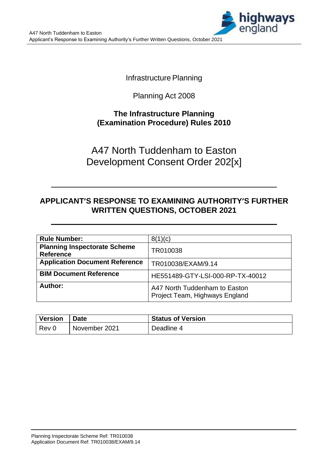

**Infrastructure Planning** 

Planning Act 2008

### **The Infrastructure Planning (Examination Procedure) Rules 2010**

A47 North Tuddenham to Easton Development Consent Order 202[x]

### **APPLICANT'S RESPONSE TO EXAMINING AUTHORITY'S FURTHER WRITTEN QUESTIONS, OCTOBER 2021**

| <b>Rule Number:</b>                                     | 8(1)(c)                                                         |
|---------------------------------------------------------|-----------------------------------------------------------------|
| <b>Planning Inspectorate Scheme</b><br><b>Reference</b> | TR010038                                                        |
| <b>Application Document Reference</b>                   | TR010038/EXAM/9.14                                              |
| <b>BIM Document Reference</b>                           | HE551489-GTY-LSI-000-RP-TX-40012                                |
| Author:                                                 | A47 North Tuddenham to Easton<br>Project Team, Highways England |

| <b>Version</b> | <b>Date</b>   | <b>Status of Version</b> |
|----------------|---------------|--------------------------|
| Rev 0          | November 2021 | Deadline 4               |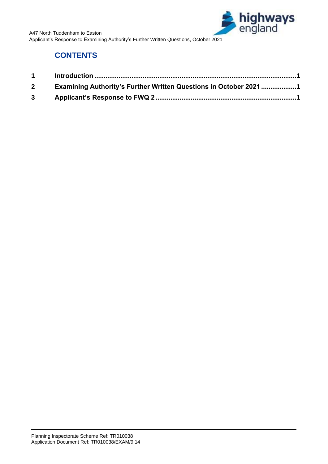

### **CONTENTS**

| $\mathbf 1$ |                                                                          |  |
|-------------|--------------------------------------------------------------------------|--|
| $2^{\circ}$ | <b>Examining Authority's Further Written Questions in October 2021 1</b> |  |
| $3^{\circ}$ |                                                                          |  |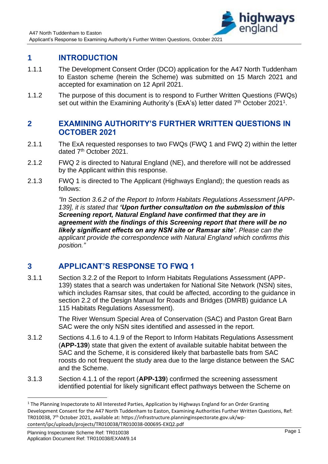

### <span id="page-3-0"></span>**1 INTRODUCTION**

- 1.1.1 The Development Consent Order (DCO) application for the A47 North Tuddenham to Easton scheme (herein the Scheme) was submitted on 15 March 2021 and accepted for examination on 12 April 2021.
- 1.1.2 The purpose of this document is to respond to Further Written Questions (FWQs) set out within the Examining Authority's (ExA's) letter dated  $7<sup>th</sup>$  October 2021<sup>1</sup>.

#### <span id="page-3-1"></span>**2 EXAMINING AUTHORITY'S FURTHER WRITTEN QUESTIONS IN OCTOBER 2021**

- 2.1.1 The ExA requested responses to two FWQs (FWQ 1 and FWQ 2) within the letter dated 7<sup>th</sup> October 2021.
- 2.1.2 FWQ 2 is directed to Natural England (NE), and therefore will not be addressed by the Applicant within this response.
- 2.1.3 FWQ 1 is directed to The Applicant (Highways England); the question reads as follows:

*"In Section 3.6.2 of the Report to Inform Habitats Regulations Assessment [APP-139], it is stated that 'Upon further consultation on the submission of this Screening report, Natural England have confirmed that they are in agreement with the findings of this Screening report that there will be no likely significant effects on any NSN site or Ramsar site'. Please can the applicant provide the correspondence with Natural England which confirms this position."*

#### <span id="page-3-2"></span>**3 APPLICANT'S RESPONSE TO FWQ 1**

3.1.1 Section 3.2.2 of the Report to Inform Habitats Regulations Assessment (APP-139) states that a search was undertaken for National Site Network (NSN) sites, which includes Ramsar sites, that could be affected, according to the guidance in section 2.2 of the Design Manual for Roads and Bridges (DMRB) guidance LA 115 Habitats Regulations Assessment).

> The River Wensum Special Area of Conservation (SAC) and Paston Great Barn SAC were the only NSN sites identified and assessed in the report.

- 3.1.2 Sections 4.1.6 to 4.1.9 of the Report to Inform Habitats Regulations Assessment (**APP-139**) state that given the extent of available suitable habitat between the SAC and the Scheme, it is considered likely that barbastelle bats from SAC roosts do not frequent the study area due to the large distance between the SAC and the Scheme.
- 3.1.3 Section 4.1.1 of the report (**APP-139**) confirmed the screening assessment identified potential for likely significant effect pathways between the Scheme on

<sup>&</sup>lt;sup>1</sup> The Planning Inspectorate to All Interested Parties, Application by Highways England for an Order Granting Development Consent for the A47 North Tuddenham to Easton, Examining Authorities Further Written Questions, Ref: TR010038, 7th October 2021, available at: https://infrastructure.planninginspectorate.gov.uk/wpcontent/ipc/uploads/projects/TR010038/TR010038-000695-EXQ2.pdf